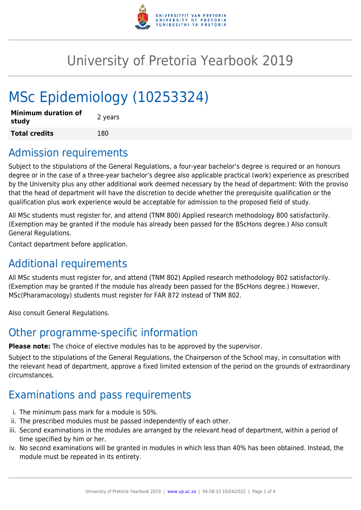

# University of Pretoria Yearbook 2019

# MSc Epidemiology (10253324)

| <b>Minimum duration of</b><br>study | 2 years |
|-------------------------------------|---------|
| <b>Total credits</b>                | 180     |

# Admission requirements

Subject to the stipulations of the General Regulations, a four-year bachelor's degree is required or an honours degree or in the case of a three-year bachelor's degree also applicable practical (work) experience as prescribed by the University plus any other additional work deemed necessary by the head of department: With the proviso that the head of department will have the discretion to decide whether the prerequisite qualification or the qualification plus work experience would be acceptable for admission to the proposed field of study.

All MSc students must register for, and attend (TNM 800) Applied research methodology 800 satisfactorily. (Exemption may be granted if the module has already been passed for the BScHons degree.) Also consult General Regulations.

Contact department before application.

# Additional requirements

All MSc students must register for, and attend (TNM 802) Applied research methodology 802 satisfactorily. (Exemption may be granted if the module has already been passed for the BScHons degree.) However, MSc(Pharamacology) students must register for FAR 872 instead of TNM 802.

Also consult General Regulations.

# Other programme-specific information

**Please note:** The choice of elective modules has to be approved by the supervisor.

Subject to the stipulations of the General Regulations, the Chairperson of the School may, in consultation with the relevant head of department, approve a fixed limited extension of the period on the grounds of extraordinary circumstances.

# Examinations and pass requirements

- i. The minimum pass mark for a module is 50%.
- ii. The prescribed modules must be passed independently of each other.
- iii. Second examinations in the modules are arranged by the relevant head of department, within a period of time specified by him or her.
- iv. No second examinations will be granted in modules in which less than 40% has been obtained. Instead, the module must be repeated in its entirety.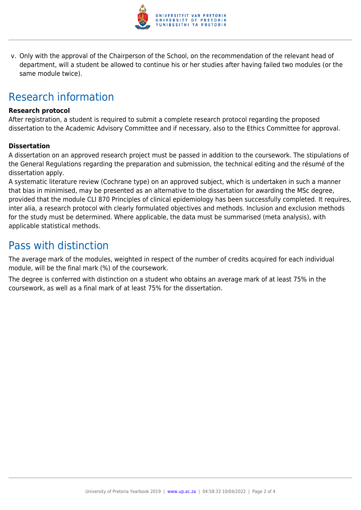

v. Only with the approval of the Chairperson of the School, on the recommendation of the relevant head of department, will a student be allowed to continue his or her studies after having failed two modules (or the same module twice).

# Research information

#### **Research protocol**

After registration, a student is required to submit a complete research protocol regarding the proposed dissertation to the Academic Advisory Committee and if necessary, also to the Ethics Committee for approval.

#### **Dissertation**

A dissertation on an approved research project must be passed in addition to the coursework. The stipulations of the General Regulations regarding the preparation and submission, the technical editing and the résumé of the dissertation apply.

A systematic literature review (Cochrane type) on an approved subject, which is undertaken in such a manner that bias in minimised, may be presented as an alternative to the dissertation for awarding the MSc degree, provided that the module CLI 870 Principles of clinical epidemiology has been successfully completed. It requires, inter alia, a research protocol with clearly formulated objectives and methods. Inclusion and exclusion methods for the study must be determined. Where applicable, the data must be summarised (meta analysis), with applicable statistical methods.

### Pass with distinction

The average mark of the modules, weighted in respect of the number of credits acquired for each individual module, will be the final mark (%) of the coursework.

The degree is conferred with distinction on a student who obtains an average mark of at least 75% in the coursework, as well as a final mark of at least 75% for the dissertation.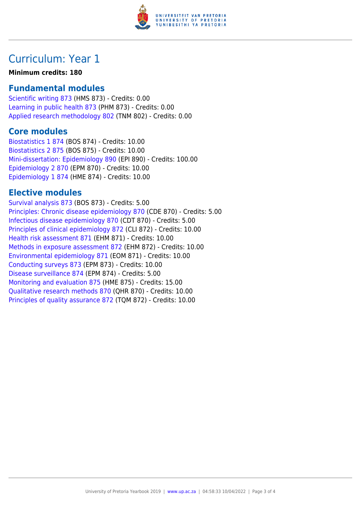

# Curriculum: Year 1

#### **Minimum credits: 180**

### **Fundamental modules**

[Scientific writing 873](https://www.up.ac.za/yearbooks/2019/modules/view/HMS 873) (HMS 873) - Credits: 0.00 [Learning in public health 873](https://www.up.ac.za/yearbooks/2019/modules/view/PHM 873) (PHM 873) - Credits: 0.00 [Applied research methodology 802](https://www.up.ac.za/yearbooks/2019/modules/view/TNM 802) (TNM 802) - Credits: 0.00

#### **Core modules**

[Biostatistics 1 874](https://www.up.ac.za/yearbooks/2019/modules/view/BOS 874) (BOS 874) - Credits: 10.00 [Biostatistics 2 875](https://www.up.ac.za/yearbooks/2019/modules/view/BOS 875) (BOS 875) - Credits: 10.00 [Mini-dissertation: Epidemiology 890](https://www.up.ac.za/yearbooks/2019/modules/view/EPI 890) (EPI 890) - Credits: 100.00 [Epidemiology 2 870](https://www.up.ac.za/yearbooks/2019/modules/view/EPM 870) (EPM 870) - Credits: 10.00 [Epidemiology 1 874](https://www.up.ac.za/yearbooks/2019/modules/view/HME 874) (HME 874) - Credits: 10.00

### **Elective modules**

[Survival analysis 873](https://www.up.ac.za/yearbooks/2019/modules/view/BOS 873) (BOS 873) - Credits: 5.00 [Principles: Chronic disease epidemiology 870](https://www.up.ac.za/yearbooks/2019/modules/view/CDE 870) (CDE 870) - Credits: 5.00 [Infectious disease epidemiology 870](https://www.up.ac.za/yearbooks/2019/modules/view/CDT 870) (CDT 870) - Credits: 5.00 [Principles of clinical epidemiology 872](https://www.up.ac.za/yearbooks/2019/modules/view/CLI 872) (CLI 872) - Credits: 10.00 [Health risk assessment 871](https://www.up.ac.za/yearbooks/2019/modules/view/EHM 871) (EHM 871) - Credits: 10.00 [Methods in exposure assessment 872](https://www.up.ac.za/yearbooks/2019/modules/view/EHM 872) (EHM 872) - Credits: 10.00 [Environmental epidemiology 871](https://www.up.ac.za/yearbooks/2019/modules/view/EOM 871) (EOM 871) - Credits: 10.00 [Conducting surveys 873](https://www.up.ac.za/yearbooks/2019/modules/view/EPM 873) (EPM 873) - Credits: 10.00 [Disease surveillance 874](https://www.up.ac.za/yearbooks/2019/modules/view/EPM 874) (EPM 874) - Credits: 5.00 [Monitoring and evaluation 875](https://www.up.ac.za/yearbooks/2019/modules/view/HME 875) (HME 875) - Credits: 15.00 [Qualitative research methods 870](https://www.up.ac.za/yearbooks/2019/modules/view/QHR 870) (QHR 870) - Credits: 10.00 [Principles of quality assurance 872](https://www.up.ac.za/yearbooks/2019/modules/view/TQM 872) (TQM 872) - Credits: 10.00